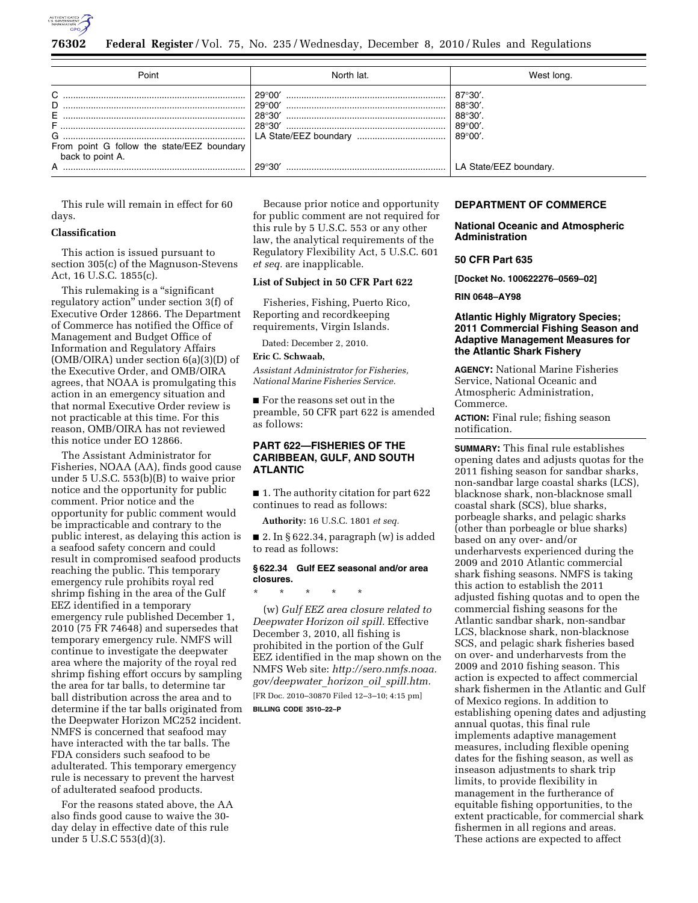

| Point                                                               | North lat.                                                                        | West long.                                                                                   |  |  |
|---------------------------------------------------------------------|-----------------------------------------------------------------------------------|----------------------------------------------------------------------------------------------|--|--|
| G<br>From point G follow the state/EEZ boundary<br>back to point A. | $29^{\circ}00'$<br>$29^{\circ}00'$<br>$28^{\circ}30'$<br>$28^{\circ}30'$<br>29°30 | 87°30′.<br>$88^{\circ}30'$<br>88°30'<br>$89^{\circ}00'$<br>89°00'.<br>LA State/EEZ boundary. |  |  |

This rule will remain in effect for 60 days.

## **Classification**

This action is issued pursuant to section 305(c) of the Magnuson-Stevens Act, 16 U.S.C. 1855(c).

This rulemaking is a "significant regulatory action'' under section 3(f) of Executive Order 12866. The Department of Commerce has notified the Office of Management and Budget Office of Information and Regulatory Affairs (OMB/OIRA) under section 6(a)(3)(D) of the Executive Order, and OMB/OIRA agrees, that NOAA is promulgating this action in an emergency situation and that normal Executive Order review is not practicable at this time. For this reason, OMB/OIRA has not reviewed this notice under EO 12866.

The Assistant Administrator for Fisheries, NOAA (AA), finds good cause under 5 U.S.C. 553(b)(B) to waive prior notice and the opportunity for public comment. Prior notice and the opportunity for public comment would be impracticable and contrary to the public interest, as delaying this action is a seafood safety concern and could result in compromised seafood products reaching the public. This temporary emergency rule prohibits royal red shrimp fishing in the area of the Gulf EEZ identified in a temporary emergency rule published December 1, 2010 (75 FR 74648) and supersedes that temporary emergency rule. NMFS will continue to investigate the deepwater area where the majority of the royal red shrimp fishing effort occurs by sampling the area for tar balls, to determine tar ball distribution across the area and to determine if the tar balls originated from the Deepwater Horizon MC252 incident. NMFS is concerned that seafood may have interacted with the tar balls. The FDA considers such seafood to be adulterated. This temporary emergency rule is necessary to prevent the harvest of adulterated seafood products.

For the reasons stated above, the AA also finds good cause to waive the 30 day delay in effective date of this rule under 5 U.S.C 553(d)(3).

Because prior notice and opportunity for public comment are not required for this rule by 5 U.S.C. 553 or any other law, the analytical requirements of the Regulatory Flexibility Act, 5 U.S.C. 601 *et seq.* are inapplicable.

# **List of Subject in 50 CFR Part 622**

Fisheries, Fishing, Puerto Rico, Reporting and recordkeeping requirements, Virgin Islands.

Dated: December 2, 2010.

## **Eric C. Schwaab,**

*Assistant Administrator for Fisheries, National Marine Fisheries Service.* 

■ For the reasons set out in the preamble, 50 CFR part 622 is amended as follows:

# **PART 622—FISHERIES OF THE CARIBBEAN, GULF, AND SOUTH ATLANTIC**

■ 1. The authority citation for part 622 continues to read as follows:

**Authority:** 16 U.S.C. 1801 *et seq.* 

■ 2. In § 622.34, paragraph (w) is added to read as follows:

# **§ 622.34 Gulf EEZ seasonal and/or area closures.**

\* \* \* \* \*

(w) *Gulf EEZ area closure related to Deepwater Horizon oil spill.* Effective December 3, 2010, all fishing is prohibited in the portion of the Gulf EEZ identified in the map shown on the NMFS Web site: *[http://sero.nmfs.noaa.](http://sero.nmfs.noaa.gov/deepwater_horizon_oil_spill.htm) [gov/deepwater](http://sero.nmfs.noaa.gov/deepwater_horizon_oil_spill.htm)*\_*horizon*\_*oil*\_*spill.htm.*  [FR Doc. 2010–30870 Filed 12–3–10; 4:15 pm] **BILLING CODE 3510–22–P** 

## **DEPARTMENT OF COMMERCE**

**National Oceanic and Atmospheric Administration** 

## **50 CFR Part 635**

**[Docket No. 100622276–0569–02]** 

**RIN 0648–AY98** 

## **Atlantic Highly Migratory Species; 2011 Commercial Fishing Season and Adaptive Management Measures for the Atlantic Shark Fishery**

**AGENCY:** National Marine Fisheries Service, National Oceanic and Atmospheric Administration, Commerce.

**ACTION:** Final rule; fishing season notification.

**SUMMARY:** This final rule establishes opening dates and adjusts quotas for the 2011 fishing season for sandbar sharks, non-sandbar large coastal sharks (LCS), blacknose shark, non-blacknose small coastal shark (SCS), blue sharks, porbeagle sharks, and pelagic sharks (other than porbeagle or blue sharks) based on any over- and/or underharvests experienced during the 2009 and 2010 Atlantic commercial shark fishing seasons. NMFS is taking this action to establish the 2011 adjusted fishing quotas and to open the commercial fishing seasons for the Atlantic sandbar shark, non-sandbar LCS, blacknose shark, non-blacknose SCS, and pelagic shark fisheries based on over- and underharvests from the 2009 and 2010 fishing season. This action is expected to affect commercial shark fishermen in the Atlantic and Gulf of Mexico regions. In addition to establishing opening dates and adjusting annual quotas, this final rule implements adaptive management measures, including flexible opening dates for the fishing season, as well as inseason adjustments to shark trip limits, to provide flexibility in management in the furtherance of equitable fishing opportunities, to the extent practicable, for commercial shark fishermen in all regions and areas. These actions are expected to affect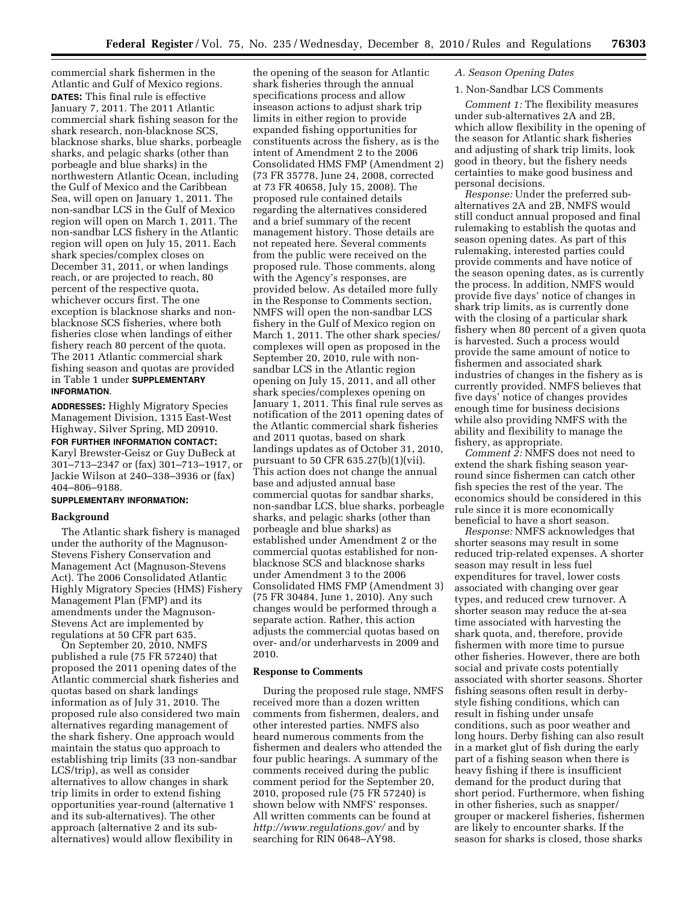commercial shark fishermen in the Atlantic and Gulf of Mexico regions. **DATES:** This final rule is effective January 7, 2011. The 2011 Atlantic commercial shark fishing season for the shark research, non-blacknose SCS, blacknose sharks, blue sharks, porbeagle sharks, and pelagic sharks (other than porbeagle and blue sharks) in the northwestern Atlantic Ocean, including the Gulf of Mexico and the Caribbean Sea, will open on January 1, 2011. The non-sandbar LCS in the Gulf of Mexico region will open on March 1, 2011. The non-sandbar LCS fishery in the Atlantic region will open on July 15, 2011. Each shark species/complex closes on December 31, 2011, or when landings reach, or are projected to reach, 80 percent of the respective quota, whichever occurs first. The one exception is blacknose sharks and nonblacknose SCS fisheries, where both fisheries close when landings of either fishery reach 80 percent of the quota. The 2011 Atlantic commercial shark fishing season and quotas are provided in Table 1 under **SUPPLEMENTARY INFORMATION**.

**ADDRESSES:** Highly Migratory Species Management Division, 1315 East-West Highway, Silver Spring, MD 20910.

**FOR FURTHER INFORMATION CONTACT:**  Karyl Brewster-Geisz or Guy DuBeck at 301–713–2347 or (fax) 301–713–1917, or Jackie Wilson at 240–338–3936 or (fax) 404–806–9188.

# **SUPPLEMENTARY INFORMATION:**

### **Background**

The Atlantic shark fishery is managed under the authority of the Magnuson-Stevens Fishery Conservation and Management Act (Magnuson-Stevens Act). The 2006 Consolidated Atlantic Highly Migratory Species (HMS) Fishery Management Plan (FMP) and its amendments under the Magnuson-Stevens Act are implemented by regulations at 50 CFR part 635.

On September 20, 2010, NMFS published a rule (75 FR 57240) that proposed the 2011 opening dates of the Atlantic commercial shark fisheries and quotas based on shark landings information as of July 31, 2010. The proposed rule also considered two main alternatives regarding management of the shark fishery. One approach would maintain the status quo approach to establishing trip limits (33 non-sandbar LCS/trip), as well as consider alternatives to allow changes in shark trip limits in order to extend fishing opportunities year-round (alternative 1 and its sub-alternatives). The other approach (alternative 2 and its subalternatives) would allow flexibility in

the opening of the season for Atlantic shark fisheries through the annual specifications process and allow inseason actions to adjust shark trip limits in either region to provide expanded fishing opportunities for constituents across the fishery, as is the intent of Amendment 2 to the 2006 Consolidated HMS FMP (Amendment 2) (73 FR 35778, June 24, 2008, corrected at 73 FR 40658, July 15, 2008). The proposed rule contained details regarding the alternatives considered and a brief summary of the recent management history. Those details are not repeated here. Several comments from the public were received on the proposed rule. Those comments, along with the Agency's responses, are provided below. As detailed more fully in the Response to Comments section, NMFS will open the non-sandbar LCS fishery in the Gulf of Mexico region on March 1, 2011. The other shark species/ complexes will open as proposed in the September 20, 2010, rule with nonsandbar LCS in the Atlantic region opening on July 15, 2011, and all other shark species/complexes opening on January 1, 2011. This final rule serves as notification of the 2011 opening dates of the Atlantic commercial shark fisheries and 2011 quotas, based on shark landings updates as of October 31, 2010, pursuant to 50 CFR 635.27(b)(1)(vii). This action does not change the annual base and adjusted annual base commercial quotas for sandbar sharks, non-sandbar LCS, blue sharks, porbeagle sharks, and pelagic sharks (other than porbeagle and blue sharks) as established under Amendment 2 or the commercial quotas established for nonblacknose SCS and blacknose sharks under Amendment 3 to the 2006 Consolidated HMS FMP (Amendment 3) (75 FR 30484, June 1, 2010). Any such changes would be performed through a separate action. Rather, this action adjusts the commercial quotas based on over- and/or underharvests in 2009 and 2010.

### **Response to Comments**

During the proposed rule stage, NMFS received more than a dozen written comments from fishermen, dealers, and other interested parties. NMFS also heard numerous comments from the fishermen and dealers who attended the four public hearings. A summary of the comments received during the public comment period for the September 20, 2010, proposed rule (75 FR 57240) is shown below with NMFS' responses. All written comments can be found at *<http://www.regulations.gov/>*and by searching for RIN 0648–AY98.

# *A. Season Opening Dates*

# 1. Non-Sandbar LCS Comments

*Comment 1:* The flexibility measures under sub-alternatives 2A and 2B, which allow flexibility in the opening of the season for Atlantic shark fisheries and adjusting of shark trip limits, look good in theory, but the fishery needs certainties to make good business and personal decisions.

*Response:* Under the preferred subalternatives 2A and 2B, NMFS would still conduct annual proposed and final rulemaking to establish the quotas and season opening dates. As part of this rulemaking, interested parties could provide comments and have notice of the season opening dates, as is currently the process. In addition, NMFS would provide five days' notice of changes in shark trip limits, as is currently done with the closing of a particular shark fishery when 80 percent of a given quota is harvested. Such a process would provide the same amount of notice to fishermen and associated shark industries of changes in the fishery as is currently provided. NMFS believes that five days' notice of changes provides enough time for business decisions while also providing NMFS with the ability and flexibility to manage the fishery, as appropriate.

*Comment 2:* NMFS does not need to extend the shark fishing season yearround since fishermen can catch other fish species the rest of the year. The economics should be considered in this rule since it is more economically beneficial to have a short season.

*Response:* NMFS acknowledges that shorter seasons may result in some reduced trip-related expenses. A shorter season may result in less fuel expenditures for travel, lower costs associated with changing over gear types, and reduced crew turnover. A shorter season may reduce the at-sea time associated with harvesting the shark quota, and, therefore, provide fishermen with more time to pursue other fisheries. However, there are both social and private costs potentially associated with shorter seasons. Shorter fishing seasons often result in derbystyle fishing conditions, which can result in fishing under unsafe conditions, such as poor weather and long hours. Derby fishing can also result in a market glut of fish during the early part of a fishing season when there is heavy fishing if there is insufficient demand for the product during that short period. Furthermore, when fishing in other fisheries, such as snapper/ grouper or mackerel fisheries, fishermen are likely to encounter sharks. If the season for sharks is closed, those sharks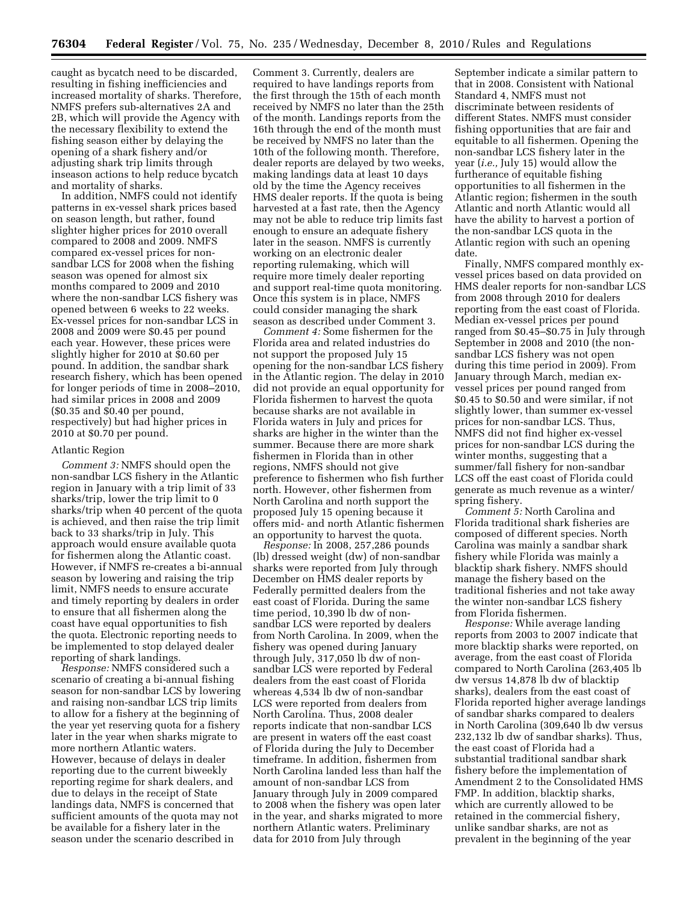caught as bycatch need to be discarded, resulting in fishing inefficiencies and increased mortality of sharks. Therefore, NMFS prefers sub-alternatives 2A and 2B, which will provide the Agency with the necessary flexibility to extend the fishing season either by delaying the opening of a shark fishery and/or adjusting shark trip limits through inseason actions to help reduce bycatch and mortality of sharks.

In addition, NMFS could not identify patterns in ex-vessel shark prices based on season length, but rather, found slighter higher prices for 2010 overall compared to 2008 and 2009. NMFS compared ex-vessel prices for nonsandbar LCS for 2008 when the fishing season was opened for almost six months compared to 2009 and 2010 where the non-sandbar LCS fishery was opened between 6 weeks to 22 weeks. Ex-vessel prices for non-sandbar LCS in 2008 and 2009 were \$0.45 per pound each year. However, these prices were slightly higher for 2010 at \$0.60 per pound. In addition, the sandbar shark research fishery, which has been opened for longer periods of time in 2008–2010, had similar prices in 2008 and 2009 (\$0.35 and \$0.40 per pound, respectively) but had higher prices in 2010 at \$0.70 per pound.

### Atlantic Region

*Comment 3:* NMFS should open the non-sandbar LCS fishery in the Atlantic region in January with a trip limit of 33 sharks/trip, lower the trip limit to 0 sharks/trip when 40 percent of the quota is achieved, and then raise the trip limit back to 33 sharks/trip in July. This approach would ensure available quota for fishermen along the Atlantic coast. However, if NMFS re-creates a bi-annual season by lowering and raising the trip limit, NMFS needs to ensure accurate and timely reporting by dealers in order to ensure that all fishermen along the coast have equal opportunities to fish the quota. Electronic reporting needs to be implemented to stop delayed dealer reporting of shark landings.

*Response:* NMFS considered such a scenario of creating a bi-annual fishing season for non-sandbar LCS by lowering and raising non-sandbar LCS trip limits to allow for a fishery at the beginning of the year yet reserving quota for a fishery later in the year when sharks migrate to more northern Atlantic waters. However, because of delays in dealer reporting due to the current biweekly reporting regime for shark dealers, and due to delays in the receipt of State landings data, NMFS is concerned that sufficient amounts of the quota may not be available for a fishery later in the season under the scenario described in

Comment 3. Currently, dealers are required to have landings reports from the first through the 15th of each month received by NMFS no later than the 25th of the month. Landings reports from the 16th through the end of the month must be received by NMFS no later than the 10th of the following month. Therefore, dealer reports are delayed by two weeks, making landings data at least 10 days old by the time the Agency receives HMS dealer reports. If the quota is being harvested at a fast rate, then the Agency may not be able to reduce trip limits fast enough to ensure an adequate fishery later in the season. NMFS is currently working on an electronic dealer reporting rulemaking, which will require more timely dealer reporting and support real-time quota monitoring. Once this system is in place, NMFS could consider managing the shark season as described under Comment 3.

*Comment 4:* Some fishermen for the Florida area and related industries do not support the proposed July 15 opening for the non-sandbar LCS fishery in the Atlantic region. The delay in 2010 did not provide an equal opportunity for Florida fishermen to harvest the quota because sharks are not available in Florida waters in July and prices for sharks are higher in the winter than the summer. Because there are more shark fishermen in Florida than in other regions, NMFS should not give preference to fishermen who fish further north. However, other fishermen from North Carolina and north support the proposed July 15 opening because it offers mid- and north Atlantic fishermen an opportunity to harvest the quota.

*Response:* In 2008, 257,286 pounds (lb) dressed weight (dw) of non-sandbar sharks were reported from July through December on HMS dealer reports by Federally permitted dealers from the east coast of Florida. During the same time period, 10,390 lb dw of nonsandbar LCS were reported by dealers from North Carolina. In 2009, when the fishery was opened during January through July, 317,050 lb dw of nonsandbar LCS were reported by Federal dealers from the east coast of Florida whereas 4,534 lb dw of non-sandbar LCS were reported from dealers from North Carolina. Thus, 2008 dealer reports indicate that non-sandbar LCS are present in waters off the east coast of Florida during the July to December timeframe. In addition, fishermen from North Carolina landed less than half the amount of non-sandbar LCS from January through July in 2009 compared to 2008 when the fishery was open later in the year, and sharks migrated to more northern Atlantic waters. Preliminary data for 2010 from July through

September indicate a similar pattern to that in 2008. Consistent with National Standard 4, NMFS must not discriminate between residents of different States. NMFS must consider fishing opportunities that are fair and equitable to all fishermen. Opening the non-sandbar LCS fishery later in the year (*i.e.,* July 15) would allow the furtherance of equitable fishing opportunities to all fishermen in the Atlantic region; fishermen in the south Atlantic and north Atlantic would all have the ability to harvest a portion of the non-sandbar LCS quota in the Atlantic region with such an opening date.

Finally, NMFS compared monthly exvessel prices based on data provided on HMS dealer reports for non-sandbar LCS from 2008 through 2010 for dealers reporting from the east coast of Florida. Median ex-vessel prices per pound ranged from \$0.45–\$0.75 in July through September in 2008 and 2010 (the nonsandbar LCS fishery was not open during this time period in 2009). From January through March, median exvessel prices per pound ranged from \$0.45 to \$0.50 and were similar, if not slightly lower, than summer ex-vessel prices for non-sandbar LCS. Thus, NMFS did not find higher ex-vessel prices for non-sandbar LCS during the winter months, suggesting that a summer/fall fishery for non-sandbar LCS off the east coast of Florida could generate as much revenue as a winter/ spring fishery.

*Comment 5:* North Carolina and Florida traditional shark fisheries are composed of different species. North Carolina was mainly a sandbar shark fishery while Florida was mainly a blacktip shark fishery. NMFS should manage the fishery based on the traditional fisheries and not take away the winter non-sandbar LCS fishery from Florida fishermen.

*Response:* While average landing reports from 2003 to 2007 indicate that more blacktip sharks were reported, on average, from the east coast of Florida compared to North Carolina (263,405 lb dw versus 14,878 lb dw of blacktip sharks), dealers from the east coast of Florida reported higher average landings of sandbar sharks compared to dealers in North Carolina (309,640 lb dw versus 232,132 lb dw of sandbar sharks). Thus, the east coast of Florida had a substantial traditional sandbar shark fishery before the implementation of Amendment 2 to the Consolidated HMS FMP. In addition, blacktip sharks, which are currently allowed to be retained in the commercial fishery, unlike sandbar sharks, are not as prevalent in the beginning of the year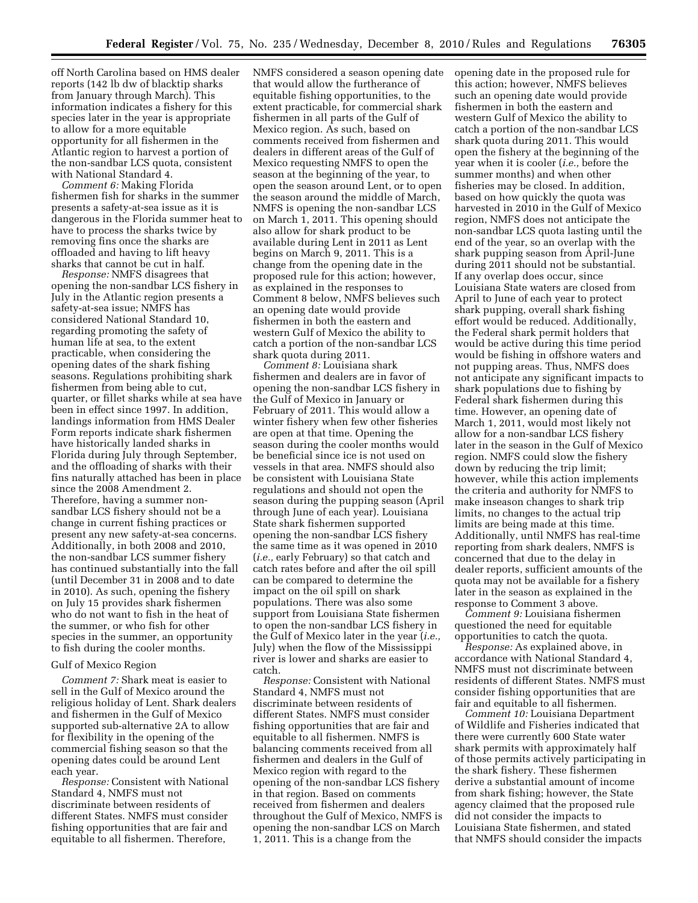off North Carolina based on HMS dealer reports (142 lb dw of blacktip sharks from January through March). This information indicates a fishery for this species later in the year is appropriate to allow for a more equitable opportunity for all fishermen in the Atlantic region to harvest a portion of the non-sandbar LCS quota, consistent with National Standard 4.

*Comment 6:* Making Florida fishermen fish for sharks in the summer presents a safety-at-sea issue as it is dangerous in the Florida summer heat to have to process the sharks twice by removing fins once the sharks are offloaded and having to lift heavy sharks that cannot be cut in half.

*Response:* NMFS disagrees that opening the non-sandbar LCS fishery in July in the Atlantic region presents a safety-at-sea issue; NMFS has considered National Standard 10, regarding promoting the safety of human life at sea, to the extent practicable, when considering the opening dates of the shark fishing seasons. Regulations prohibiting shark fishermen from being able to cut, quarter, or fillet sharks while at sea have been in effect since 1997. In addition, landings information from HMS Dealer Form reports indicate shark fishermen have historically landed sharks in Florida during July through September, and the offloading of sharks with their fins naturally attached has been in place since the 2008 Amendment 2. Therefore, having a summer nonsandbar LCS fishery should not be a change in current fishing practices or present any new safety-at-sea concerns. Additionally, in both 2008 and 2010, the non-sandbar LCS summer fishery has continued substantially into the fall (until December 31 in 2008 and to date in 2010). As such, opening the fishery on July 15 provides shark fishermen who do not want to fish in the heat of the summer, or who fish for other species in the summer, an opportunity to fish during the cooler months.

### Gulf of Mexico Region

*Comment 7:* Shark meat is easier to sell in the Gulf of Mexico around the religious holiday of Lent. Shark dealers and fishermen in the Gulf of Mexico supported sub-alternative 2A to allow for flexibility in the opening of the commercial fishing season so that the opening dates could be around Lent each year.

*Response:* Consistent with National Standard 4, NMFS must not discriminate between residents of different States. NMFS must consider fishing opportunities that are fair and equitable to all fishermen. Therefore,

NMFS considered a season opening date that would allow the furtherance of equitable fishing opportunities, to the extent practicable, for commercial shark fishermen in all parts of the Gulf of Mexico region. As such, based on comments received from fishermen and dealers in different areas of the Gulf of Mexico requesting NMFS to open the season at the beginning of the year, to open the season around Lent, or to open the season around the middle of March, NMFS is opening the non-sandbar LCS on March 1, 2011. This opening should also allow for shark product to be available during Lent in 2011 as Lent begins on March 9, 2011. This is a change from the opening date in the proposed rule for this action; however, as explained in the responses to Comment 8 below, NMFS believes such an opening date would provide fishermen in both the eastern and western Gulf of Mexico the ability to catch a portion of the non-sandbar LCS shark quota during 2011.

*Comment 8:* Louisiana shark fishermen and dealers are in favor of opening the non-sandbar LCS fishery in the Gulf of Mexico in January or February of 2011. This would allow a winter fishery when few other fisheries are open at that time. Opening the season during the cooler months would be beneficial since ice is not used on vessels in that area. NMFS should also be consistent with Louisiana State regulations and should not open the season during the pupping season (April through June of each year). Louisiana State shark fishermen supported opening the non-sandbar LCS fishery the same time as it was opened in 2010 (*i.e.,* early February) so that catch and catch rates before and after the oil spill can be compared to determine the impact on the oil spill on shark populations. There was also some support from Louisiana State fishermen to open the non-sandbar LCS fishery in the Gulf of Mexico later in the year (*i.e.,*  July) when the flow of the Mississippi river is lower and sharks are easier to catch.

*Response:* Consistent with National Standard 4, NMFS must not discriminate between residents of different States. NMFS must consider fishing opportunities that are fair and equitable to all fishermen. NMFS is balancing comments received from all fishermen and dealers in the Gulf of Mexico region with regard to the opening of the non-sandbar LCS fishery in that region. Based on comments received from fishermen and dealers throughout the Gulf of Mexico, NMFS is opening the non-sandbar LCS on March 1, 2011. This is a change from the

opening date in the proposed rule for this action; however, NMFS believes such an opening date would provide fishermen in both the eastern and western Gulf of Mexico the ability to catch a portion of the non-sandbar LCS shark quota during 2011. This would open the fishery at the beginning of the year when it is cooler (*i.e.,* before the summer months) and when other fisheries may be closed. In addition, based on how quickly the quota was harvested in 2010 in the Gulf of Mexico region, NMFS does not anticipate the non-sandbar LCS quota lasting until the end of the year, so an overlap with the shark pupping season from April-June during 2011 should not be substantial. If any overlap does occur, since Louisiana State waters are closed from April to June of each year to protect shark pupping, overall shark fishing effort would be reduced. Additionally, the Federal shark permit holders that would be active during this time period would be fishing in offshore waters and not pupping areas. Thus, NMFS does not anticipate any significant impacts to shark populations due to fishing by Federal shark fishermen during this time. However, an opening date of March 1, 2011, would most likely not allow for a non-sandbar LCS fishery later in the season in the Gulf of Mexico region. NMFS could slow the fishery down by reducing the trip limit; however, while this action implements the criteria and authority for NMFS to make inseason changes to shark trip limits, no changes to the actual trip limits are being made at this time. Additionally, until NMFS has real-time reporting from shark dealers, NMFS is concerned that due to the delay in dealer reports, sufficient amounts of the quota may not be available for a fishery later in the season as explained in the response to Comment 3 above.

*Comment 9:* Louisiana fishermen questioned the need for equitable opportunities to catch the quota.

*Response:* As explained above, in accordance with National Standard 4, NMFS must not discriminate between residents of different States. NMFS must consider fishing opportunities that are fair and equitable to all fishermen.

*Comment 10:* Louisiana Department of Wildlife and Fisheries indicated that there were currently 600 State water shark permits with approximately half of those permits actively participating in the shark fishery. These fishermen derive a substantial amount of income from shark fishing; however, the State agency claimed that the proposed rule did not consider the impacts to Louisiana State fishermen, and stated that NMFS should consider the impacts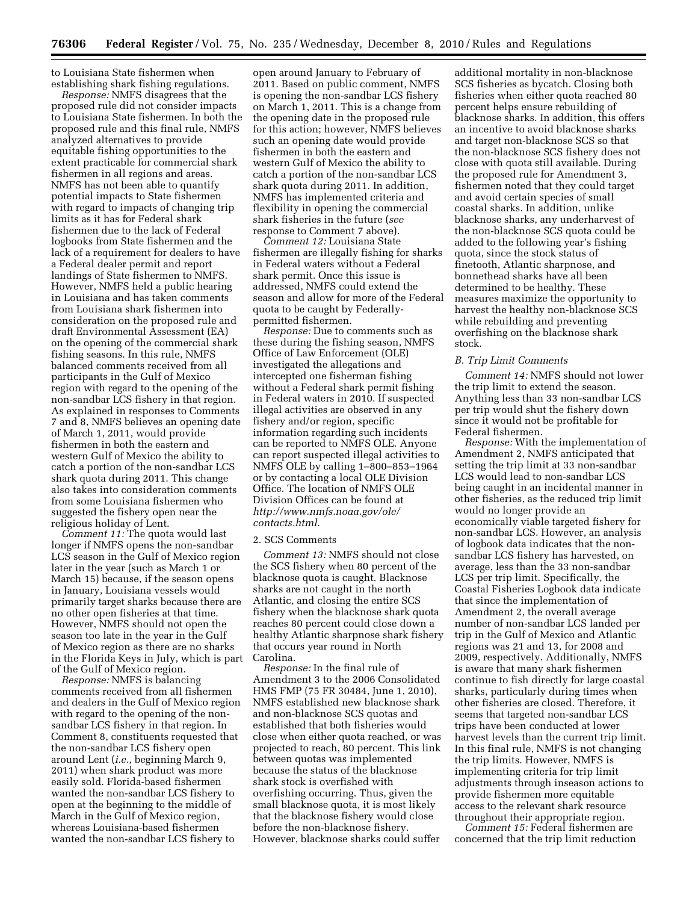to Louisiana State fishermen when establishing shark fishing regulations.

*Response:* NMFS disagrees that the proposed rule did not consider impacts to Louisiana State fishermen. In both the proposed rule and this final rule, NMFS analyzed alternatives to provide equitable fishing opportunities to the extent practicable for commercial shark fishermen in all regions and areas. NMFS has not been able to quantify potential impacts to State fishermen with regard to impacts of changing trip limits as it has for Federal shark fishermen due to the lack of Federal logbooks from State fishermen and the lack of a requirement for dealers to have a Federal dealer permit and report landings of State fishermen to NMFS. However, NMFS held a public hearing in Louisiana and has taken comments from Louisiana shark fishermen into consideration on the proposed rule and draft Environmental Assessment (EA) on the opening of the commercial shark fishing seasons. In this rule, NMFS balanced comments received from all participants in the Gulf of Mexico region with regard to the opening of the non-sandbar LCS fishery in that region. As explained in responses to Comments 7 and 8, NMFS believes an opening date of March 1, 2011, would provide fishermen in both the eastern and western Gulf of Mexico the ability to catch a portion of the non-sandbar LCS shark quota during 2011. This change also takes into consideration comments from some Louisiana fishermen who suggested the fishery open near the religious holiday of Lent.

*Comment 11:* The quota would last longer if NMFS opens the non-sandbar LCS season in the Gulf of Mexico region later in the year (such as March 1 or March 15) because, if the season opens in January, Louisiana vessels would primarily target sharks because there are no other open fisheries at that time. However, NMFS should not open the season too late in the year in the Gulf of Mexico region as there are no sharks in the Florida Keys in July, which is part of the Gulf of Mexico region.

*Response:* NMFS is balancing comments received from all fishermen and dealers in the Gulf of Mexico region with regard to the opening of the nonsandbar LCS fishery in that region. In Comment 8, constituents requested that the non-sandbar LCS fishery open around Lent (*i.e.,* beginning March 9, 2011) when shark product was more easily sold. Florida-based fishermen wanted the non-sandbar LCS fishery to open at the beginning to the middle of March in the Gulf of Mexico region, whereas Louisiana-based fishermen wanted the non-sandbar LCS fishery to

open around January to February of 2011. Based on public comment, NMFS is opening the non-sandbar LCS fishery on March 1, 2011. This is a change from the opening date in the proposed rule for this action; however, NMFS believes such an opening date would provide fishermen in both the eastern and western Gulf of Mexico the ability to catch a portion of the non-sandbar LCS shark quota during 2011. In addition, NMFS has implemented criteria and flexibility in opening the commercial shark fisheries in the future (*see*  response to Comment 7 above).

*Comment 12:* Louisiana State fishermen are illegally fishing for sharks in Federal waters without a Federal shark permit. Once this issue is addressed, NMFS could extend the season and allow for more of the Federal quota to be caught by Federallypermitted fishermen.

*Response:* Due to comments such as these during the fishing season, NMFS Office of Law Enforcement (OLE) investigated the allegations and intercepted one fisherman fishing without a Federal shark permit fishing in Federal waters in 2010. If suspected illegal activities are observed in any fishery and/or region, specific information regarding such incidents can be reported to NMFS OLE. Anyone can report suspected illegal activities to NMFS OLE by calling 1–800–853–1964 or by contacting a local OLE Division Office. The location of NMFS OLE Division Offices can be found at *[http://www.nmfs.noaa.gov/ole/](http://www.nmfs.noaa.gov/ole/contacts.html) [contacts.html.](http://www.nmfs.noaa.gov/ole/contacts.html)* 

## 2. SCS Comments

*Comment 13:* NMFS should not close the SCS fishery when 80 percent of the blacknose quota is caught. Blacknose sharks are not caught in the north Atlantic, and closing the entire SCS fishery when the blacknose shark quota reaches 80 percent could close down a healthy Atlantic sharpnose shark fishery that occurs year round in North Carolina.

*Response:* In the final rule of Amendment 3 to the 2006 Consolidated HMS FMP (75 FR 30484, June 1, 2010), NMFS established new blacknose shark and non-blacknose SCS quotas and established that both fisheries would close when either quota reached, or was projected to reach, 80 percent. This link between quotas was implemented because the status of the blacknose shark stock is overfished with overfishing occurring. Thus, given the small blacknose quota, it is most likely that the blacknose fishery would close before the non-blacknose fishery. However, blacknose sharks could suffer

additional mortality in non-blacknose SCS fisheries as bycatch. Closing both fisheries when either quota reached 80 percent helps ensure rebuilding of blacknose sharks. In addition, this offers an incentive to avoid blacknose sharks and target non-blacknose SCS so that the non-blacknose SCS fishery does not close with quota still available. During the proposed rule for Amendment 3, fishermen noted that they could target and avoid certain species of small coastal sharks. In addition, unlike blacknose sharks, any underharvest of the non-blacknose SCS quota could be added to the following year's fishing quota, since the stock status of finetooth, Atlantic sharpnose, and bonnethead sharks have all been determined to be healthy. These measures maximize the opportunity to harvest the healthy non-blacknose SCS while rebuilding and preventing overfishing on the blacknose shark stock.

#### *B. Trip Limit Comments*

*Comment 14:* NMFS should not lower the trip limit to extend the season. Anything less than 33 non-sandbar LCS per trip would shut the fishery down since it would not be profitable for Federal fishermen.

*Response:* With the implementation of Amendment 2, NMFS anticipated that setting the trip limit at 33 non-sandbar LCS would lead to non-sandbar LCS being caught in an incidental manner in other fisheries, as the reduced trip limit would no longer provide an economically viable targeted fishery for non-sandbar LCS. However, an analysis of logbook data indicates that the nonsandbar LCS fishery has harvested, on average, less than the 33 non-sandbar LCS per trip limit. Specifically, the Coastal Fisheries Logbook data indicate that since the implementation of Amendment 2, the overall average number of non-sandbar LCS landed per trip in the Gulf of Mexico and Atlantic regions was 21 and 13, for 2008 and 2009, respectively. Additionally, NMFS is aware that many shark fishermen continue to fish directly for large coastal sharks, particularly during times when other fisheries are closed. Therefore, it seems that targeted non-sandbar LCS trips have been conducted at lower harvest levels than the current trip limit. In this final rule, NMFS is not changing the trip limits. However, NMFS is implementing criteria for trip limit adjustments through inseason actions to provide fishermen more equitable access to the relevant shark resource throughout their appropriate region.

*Comment 15:* Federal fishermen are concerned that the trip limit reduction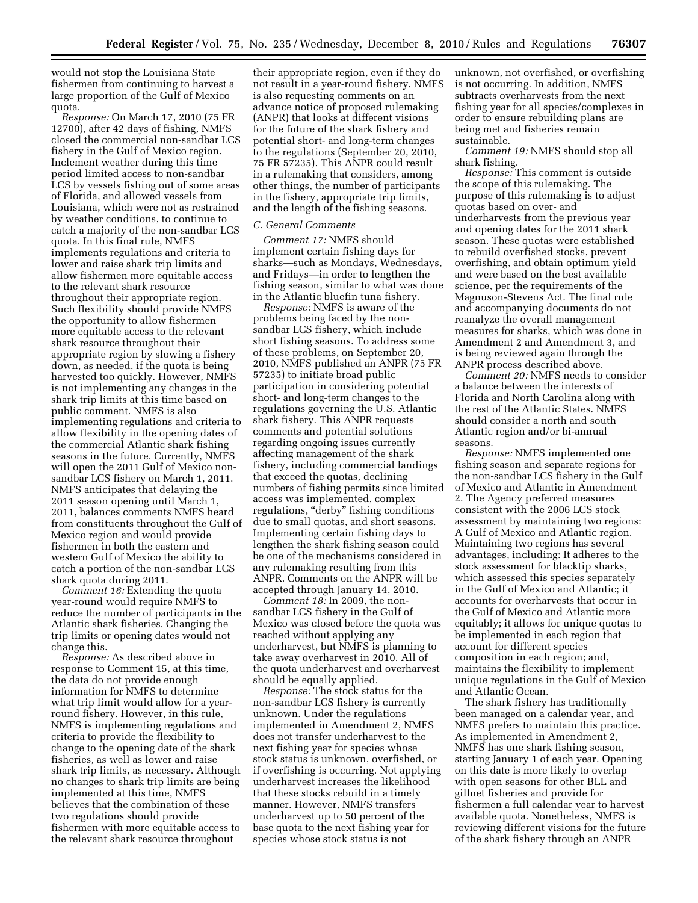would not stop the Louisiana State fishermen from continuing to harvest a large proportion of the Gulf of Mexico quota.

*Response:* On March 17, 2010 (75 FR 12700), after 42 days of fishing, NMFS closed the commercial non-sandbar LCS fishery in the Gulf of Mexico region. Inclement weather during this time period limited access to non-sandbar LCS by vessels fishing out of some areas of Florida, and allowed vessels from Louisiana, which were not as restrained by weather conditions, to continue to catch a majority of the non-sandbar LCS quota. In this final rule, NMFS implements regulations and criteria to lower and raise shark trip limits and allow fishermen more equitable access to the relevant shark resource throughout their appropriate region. Such flexibility should provide NMFS the opportunity to allow fishermen more equitable access to the relevant shark resource throughout their appropriate region by slowing a fishery down, as needed, if the quota is being harvested too quickly. However, NMFS is not implementing any changes in the shark trip limits at this time based on public comment. NMFS is also implementing regulations and criteria to allow flexibility in the opening dates of the commercial Atlantic shark fishing seasons in the future. Currently, NMFS will open the 2011 Gulf of Mexico nonsandbar LCS fishery on March 1, 2011. NMFS anticipates that delaying the 2011 season opening until March 1, 2011, balances comments NMFS heard from constituents throughout the Gulf of Mexico region and would provide fishermen in both the eastern and western Gulf of Mexico the ability to catch a portion of the non-sandbar LCS shark quota during 2011.

*Comment 16:* Extending the quota year-round would require NMFS to reduce the number of participants in the Atlantic shark fisheries. Changing the trip limits or opening dates would not change this.

*Response:* As described above in response to Comment 15, at this time, the data do not provide enough information for NMFS to determine what trip limit would allow for a yearround fishery. However, in this rule, NMFS is implementing regulations and criteria to provide the flexibility to change to the opening date of the shark fisheries, as well as lower and raise shark trip limits, as necessary. Although no changes to shark trip limits are being implemented at this time, NMFS believes that the combination of these two regulations should provide fishermen with more equitable access to the relevant shark resource throughout

their appropriate region, even if they do not result in a year-round fishery. NMFS is also requesting comments on an advance notice of proposed rulemaking (ANPR) that looks at different visions for the future of the shark fishery and potential short- and long-term changes to the regulations (September 20, 2010, 75 FR 57235). This ANPR could result in a rulemaking that considers, among other things, the number of participants in the fishery, appropriate trip limits, and the length of the fishing seasons.

### *C. General Comments*

*Comment 17:* NMFS should implement certain fishing days for sharks—such as Mondays, Wednesdays, and Fridays—in order to lengthen the fishing season, similar to what was done in the Atlantic bluefin tuna fishery.

*Response:* NMFS is aware of the problems being faced by the nonsandbar LCS fishery, which include short fishing seasons. To address some of these problems, on September 20, 2010, NMFS published an ANPR (75 FR 57235) to initiate broad public participation in considering potential short- and long-term changes to the regulations governing the U.S. Atlantic shark fishery. This ANPR requests comments and potential solutions regarding ongoing issues currently affecting management of the shark fishery, including commercial landings that exceed the quotas, declining numbers of fishing permits since limited access was implemented, complex regulations, "derby" fishing conditions due to small quotas, and short seasons. Implementing certain fishing days to lengthen the shark fishing season could be one of the mechanisms considered in any rulemaking resulting from this ANPR. Comments on the ANPR will be accepted through January 14, 2010.

*Comment 18:* In 2009, the nonsandbar LCS fishery in the Gulf of Mexico was closed before the quota was reached without applying any underharvest, but NMFS is planning to take away overharvest in 2010. All of the quota underharvest and overharvest should be equally applied.

*Response:* The stock status for the non-sandbar LCS fishery is currently unknown. Under the regulations implemented in Amendment 2, NMFS does not transfer underharvest to the next fishing year for species whose stock status is unknown, overfished, or if overfishing is occurring. Not applying underharvest increases the likelihood that these stocks rebuild in a timely manner. However, NMFS transfers underharvest up to 50 percent of the base quota to the next fishing year for species whose stock status is not

unknown, not overfished, or overfishing is not occurring. In addition, NMFS subtracts overharvests from the next fishing year for all species/complexes in order to ensure rebuilding plans are being met and fisheries remain sustainable.

*Comment 19:* NMFS should stop all shark fishing.

*Response:* This comment is outside the scope of this rulemaking. The purpose of this rulemaking is to adjust quotas based on over- and underharvests from the previous year and opening dates for the 2011 shark season. These quotas were established to rebuild overfished stocks, prevent overfishing, and obtain optimum yield and were based on the best available science, per the requirements of the Magnuson-Stevens Act. The final rule and accompanying documents do not reanalyze the overall management measures for sharks, which was done in Amendment 2 and Amendment 3, and is being reviewed again through the ANPR process described above.

*Comment 20:* NMFS needs to consider a balance between the interests of Florida and North Carolina along with the rest of the Atlantic States. NMFS should consider a north and south Atlantic region and/or bi-annual seasons.

*Response:* NMFS implemented one fishing season and separate regions for the non-sandbar LCS fishery in the Gulf of Mexico and Atlantic in Amendment 2. The Agency preferred measures consistent with the 2006 LCS stock assessment by maintaining two regions: A Gulf of Mexico and Atlantic region. Maintaining two regions has several advantages, including: It adheres to the stock assessment for blacktip sharks, which assessed this species separately in the Gulf of Mexico and Atlantic; it accounts for overharvests that occur in the Gulf of Mexico and Atlantic more equitably; it allows for unique quotas to be implemented in each region that account for different species composition in each region; and, maintains the flexibility to implement unique regulations in the Gulf of Mexico and Atlantic Ocean.

The shark fishery has traditionally been managed on a calendar year, and NMFS prefers to maintain this practice. As implemented in Amendment 2, NMFS has one shark fishing season, starting January 1 of each year. Opening on this date is more likely to overlap with open seasons for other BLL and gillnet fisheries and provide for fishermen a full calendar year to harvest available quota. Nonetheless, NMFS is reviewing different visions for the future of the shark fishery through an ANPR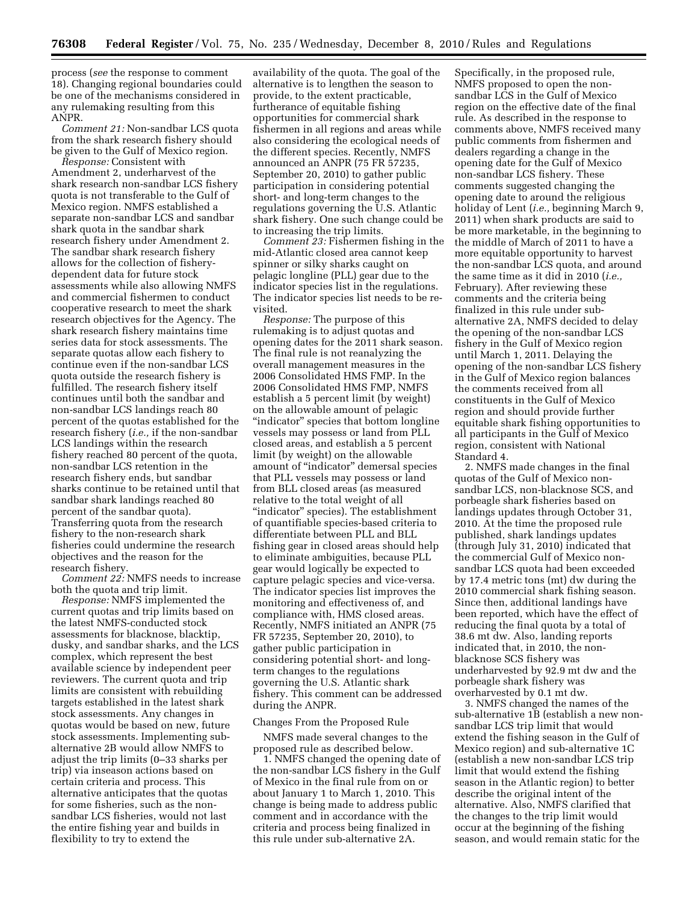process (*see* the response to comment 18). Changing regional boundaries could be one of the mechanisms considered in any rulemaking resulting from this ANPR.

*Comment 21:* Non-sandbar LCS quota from the shark research fishery should be given to the Gulf of Mexico region.

*Response:* Consistent with Amendment 2, underharvest of the shark research non-sandbar LCS fishery quota is not transferable to the Gulf of Mexico region. NMFS established a separate non-sandbar LCS and sandbar shark quota in the sandbar shark research fishery under Amendment 2. The sandbar shark research fishery allows for the collection of fisherydependent data for future stock assessments while also allowing NMFS and commercial fishermen to conduct cooperative research to meet the shark research objectives for the Agency. The shark research fishery maintains time series data for stock assessments. The separate quotas allow each fishery to continue even if the non-sandbar LCS quota outside the research fishery is fulfilled. The research fishery itself continues until both the sandbar and non-sandbar LCS landings reach 80 percent of the quotas established for the research fishery (*i.e.,* if the non-sandbar LCS landings within the research fishery reached 80 percent of the quota, non-sandbar LCS retention in the research fishery ends, but sandbar sharks continue to be retained until that sandbar shark landings reached 80 percent of the sandbar quota). Transferring quota from the research fishery to the non-research shark fisheries could undermine the research objectives and the reason for the research fishery.

*Comment 22:* NMFS needs to increase both the quota and trip limit.

*Response:* NMFS implemented the current quotas and trip limits based on the latest NMFS-conducted stock assessments for blacknose, blacktip, dusky, and sandbar sharks, and the LCS complex, which represent the best available science by independent peer reviewers. The current quota and trip limits are consistent with rebuilding targets established in the latest shark stock assessments. Any changes in quotas would be based on new, future stock assessments. Implementing subalternative 2B would allow NMFS to adjust the trip limits (0–33 sharks per trip) via inseason actions based on certain criteria and process. This alternative anticipates that the quotas for some fisheries, such as the nonsandbar LCS fisheries, would not last the entire fishing year and builds in flexibility to try to extend the

availability of the quota. The goal of the alternative is to lengthen the season to provide, to the extent practicable, furtherance of equitable fishing opportunities for commercial shark fishermen in all regions and areas while also considering the ecological needs of the different species. Recently, NMFS announced an ANPR (75 FR 57235, September 20, 2010) to gather public participation in considering potential short- and long-term changes to the regulations governing the U.S. Atlantic shark fishery. One such change could be to increasing the trip limits.

*Comment 23:* Fishermen fishing in the mid-Atlantic closed area cannot keep spinner or silky sharks caught on pelagic longline (PLL) gear due to the indicator species list in the regulations. The indicator species list needs to be revisited.

*Response:* The purpose of this rulemaking is to adjust quotas and opening dates for the 2011 shark season. The final rule is not reanalyzing the overall management measures in the 2006 Consolidated HMS FMP. In the 2006 Consolidated HMS FMP, NMFS establish a 5 percent limit (by weight) on the allowable amount of pelagic ''indicator'' species that bottom longline vessels may possess or land from PLL closed areas, and establish a 5 percent limit (by weight) on the allowable amount of ''indicator'' demersal species that PLL vessels may possess or land from BLL closed areas (as measured relative to the total weight of all ''indicator'' species). The establishment of quantifiable species-based criteria to differentiate between PLL and BLL fishing gear in closed areas should help to eliminate ambiguities, because PLL gear would logically be expected to capture pelagic species and vice-versa. The indicator species list improves the monitoring and effectiveness of, and compliance with, HMS closed areas. Recently, NMFS initiated an ANPR (75 FR 57235, September 20, 2010), to gather public participation in considering potential short- and longterm changes to the regulations governing the U.S. Atlantic shark fishery. This comment can be addressed during the ANPR.

Changes From the Proposed Rule

NMFS made several changes to the proposed rule as described below.

1. NMFS changed the opening date of the non-sandbar LCS fishery in the Gulf of Mexico in the final rule from on or about January 1 to March 1, 2010. This change is being made to address public comment and in accordance with the criteria and process being finalized in this rule under sub-alternative 2A.

Specifically, in the proposed rule, NMFS proposed to open the nonsandbar LCS in the Gulf of Mexico region on the effective date of the final rule. As described in the response to comments above, NMFS received many public comments from fishermen and dealers regarding a change in the opening date for the Gulf of Mexico non-sandbar LCS fishery. These comments suggested changing the opening date to around the religious holiday of Lent (*i.e.,* beginning March 9, 2011) when shark products are said to be more marketable, in the beginning to the middle of March of 2011 to have a more equitable opportunity to harvest the non-sandbar LCS quota, and around the same time as it did in 2010 (*i.e.,*  February). After reviewing these comments and the criteria being finalized in this rule under subalternative 2A, NMFS decided to delay the opening of the non-sandbar LCS fishery in the Gulf of Mexico region until March 1, 2011. Delaying the opening of the non-sandbar LCS fishery in the Gulf of Mexico region balances the comments received from all constituents in the Gulf of Mexico region and should provide further equitable shark fishing opportunities to all participants in the Gulf of Mexico region, consistent with National Standard 4.

2. NMFS made changes in the final quotas of the Gulf of Mexico nonsandbar LCS, non-blacknose SCS, and porbeagle shark fisheries based on landings updates through October 31, 2010. At the time the proposed rule published, shark landings updates (through July 31, 2010) indicated that the commercial Gulf of Mexico nonsandbar LCS quota had been exceeded by 17.4 metric tons (mt) dw during the 2010 commercial shark fishing season. Since then, additional landings have been reported, which have the effect of reducing the final quota by a total of 38.6 mt dw. Also, landing reports indicated that, in 2010, the nonblacknose SCS fishery was underharvested by 92.9 mt dw and the porbeagle shark fishery was overharvested by 0.1 mt dw.

3. NMFS changed the names of the sub-alternative 1B (establish a new nonsandbar LCS trip limit that would extend the fishing season in the Gulf of Mexico region) and sub-alternative 1C (establish a new non-sandbar LCS trip limit that would extend the fishing season in the Atlantic region) to better describe the original intent of the alternative. Also, NMFS clarified that the changes to the trip limit would occur at the beginning of the fishing season, and would remain static for the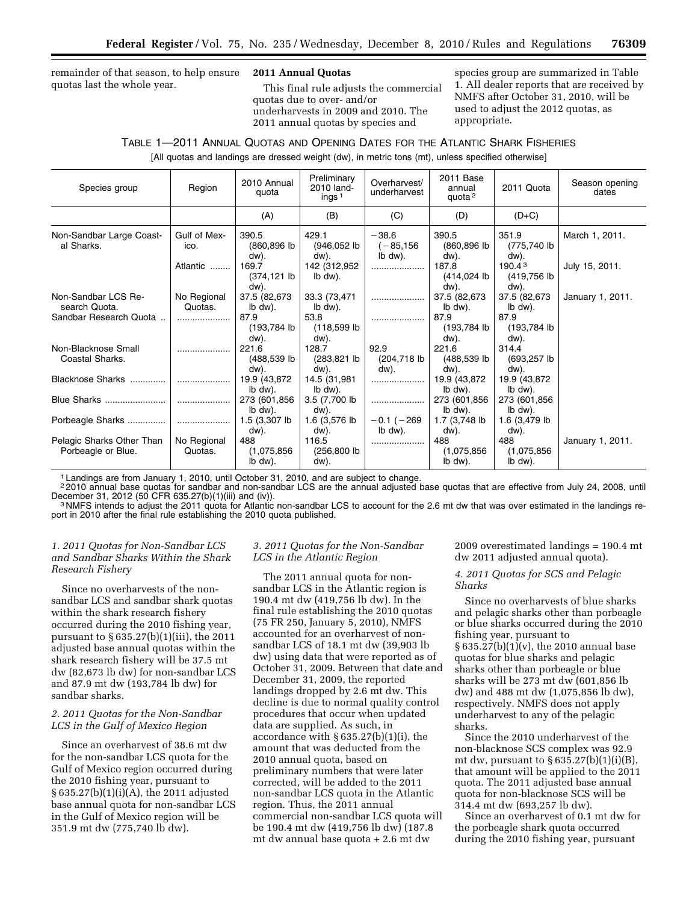remainder of that season, to help ensure quotas last the whole year.

# **2011 Annual Quotas**

This final rule adjusts the commercial quotas due to over- and/or underharvests in 2009 and 2010. The 2011 annual quotas by species and

species group are summarized in Table 1. All dealer reports that are received by NMFS after October 31, 2010, will be used to adjust the 2012 quotas, as appropriate.

# TABLE 1—2011 ANNUAL QUOTAS AND OPENING DATES FOR THE ATLANTIC SHARK FISHERIES

[All quotas and landings are dressed weight (dw), in metric tons (mt), unless specified otherwise]

| Species group                                   | Region                 | 2010 Annual<br>quota          | Preliminary<br>2010 land-<br>ings $1$ | Overharvest/<br>underharvest       | 2011 Base<br>annual<br>quota $2$ | 2011 Quota                                 | Season opening<br>dates |
|-------------------------------------------------|------------------------|-------------------------------|---------------------------------------|------------------------------------|----------------------------------|--------------------------------------------|-------------------------|
|                                                 |                        | (A)                           | (B)                                   | (C)                                | (D)                              | $(D+C)$                                    |                         |
| Non-Sandbar Large Coast-<br>al Sharks.          | Gulf of Mex-<br>ico.   | 390.5<br>(860,896 lb)<br>dw). | 429.1<br>(946,052 lb)<br>dw).         | $-38.6$<br>$(-85, 156)$<br>Ib dw). | 390.5<br>(860,896 lb)<br>dw).    | 351.9<br>(775,740 lb)<br>dw).              | March 1, 2011.          |
|                                                 | Atlantic               | 169.7<br>(374,121 lb<br>dw).  | 142 (312,952<br>lb dw).               |                                    | 187.8<br>(414,024 lb)<br>dw).    | 190.4 <sup>3</sup><br>(419,756 lb)<br>dw). | July 15, 2011.          |
| Non-Sandbar LCS Re-<br>search Quota.            | No Regional<br>Quotas. | 37.5 (82,673<br>Ib dw).       | 33.3 (73,471)<br>lb dw).              |                                    | 37.5 (82,673)<br>lb dw).         | 37.5 (82,673)<br>lb dw).                   | January 1, 2011.        |
| Sandbar Research Quota                          |                        | 87.9<br>(193,784 lb)<br>dw).  | 53.8<br>$(118,599$ lb<br>dw).         |                                    | 87.9<br>(193,784 lb)<br>dw).     | 87.9<br>(193,784 lb)<br>dw).               |                         |
| Non-Blacknose Small<br>Coastal Sharks.          |                        | 221.6<br>(488,539 lb)<br>dw). | 128.7<br>(283,821 lb)<br>dw).         | 92.9<br>(204,718 lb)<br>dw).       | 221.6<br>(488,539 lb)<br>dw).    | 314.4<br>(693,257 lb)<br>dw).              |                         |
| Blacknose Sharks                                |                        | 19.9 (43,872)<br>Ib dw).      | 14.5 (31,981<br>lb dw).               |                                    | 19.9 (43,872)<br>lb dw).         | 19.9 (43,872)<br>Ib dw).                   |                         |
| Blue Sharks                                     |                        | 273 (601,856)<br>lb dw).      | 3.5 (7,700 lb<br>dw).                 |                                    | 273 (601,856)<br>lb dw).         | 273 (601,856)<br>lb dw).                   |                         |
| Porbeagle Sharks                                |                        | 1.5 (3,307 lb<br>dw).         | 1.6 (3,576 lb<br>dw).                 | $-0.1$ ( $-269$ )<br>Ib dw).       | 1.7 (3,748 lb<br>dw).            | 1.6 (3,479 lb<br>dw).                      |                         |
| Pelagic Sharks Other Than<br>Porbeagle or Blue. | No Regional<br>Quotas. | 488<br>(1,075,856)<br>lb dw). | 116.5<br>$(256, 800)$ lb<br>dw).      |                                    | 488<br>(1,075,856)<br>lb dw).    | 488<br>(1,075,856)<br>lb dw).              | January 1, 2011.        |

1 Landings are from January 1, 2010, until October 31, 2010, and are subject to change.

 $^{2}$ 2010 annual base quotas for sandbar and non-sandbar LCS are the annual adjusted base quotas that are effective from July 24, 2008, until December 31, 2012 (50 CFR 635.27(b)(1)(iii) and (iv)).

<sup>3</sup> NMFS intends to adjust the 2011 quota for Atlantic non-sandbar LCS to account for the 2.6 mt dw that was over estimated in the landings report in 2010 after the final rule establishing the 2010 quota published.

# *1. 2011 Quotas for Non-Sandbar LCS and Sandbar Sharks Within the Shark Research Fishery*

Since no overharvests of the nonsandbar LCS and sandbar shark quotas within the shark research fishery occurred during the 2010 fishing year, pursuant to § 635.27(b)(1)(iii), the 2011 adjusted base annual quotas within the shark research fishery will be 37.5 mt dw (82,673 lb dw) for non-sandbar LCS and 87.9 mt dw (193,784 lb dw) for sandbar sharks.

# *2. 2011 Quotas for the Non-Sandbar LCS in the Gulf of Mexico Region*

Since an overharvest of 38.6 mt dw for the non-sandbar LCS quota for the Gulf of Mexico region occurred during the 2010 fishing year, pursuant to § 635.27(b)(1)(i)(A), the 2011 adjusted base annual quota for non-sandbar LCS in the Gulf of Mexico region will be 351.9 mt dw (775,740 lb dw).

# *3. 2011 Quotas for the Non-Sandbar LCS in the Atlantic Region*

The 2011 annual quota for nonsandbar LCS in the Atlantic region is 190.4 mt dw (419,756 lb dw). In the final rule establishing the 2010 quotas (75 FR 250, January 5, 2010), NMFS accounted for an overharvest of nonsandbar LCS of 18.1 mt dw (39,903 lb dw) using data that were reported as of October 31, 2009. Between that date and December 31, 2009, the reported landings dropped by 2.6 mt dw. This decline is due to normal quality control procedures that occur when updated data are supplied. As such, in accordance with § 635.27(b)(1)(i), the amount that was deducted from the 2010 annual quota, based on preliminary numbers that were later corrected, will be added to the 2011 non-sandbar LCS quota in the Atlantic region. Thus, the 2011 annual commercial non-sandbar LCS quota will be 190.4 mt dw (419,756 lb dw) (187.8 mt dw annual base quota + 2.6 mt dw

2009 overestimated landings = 190.4 mt dw 2011 adjusted annual quota).

## *4. 2011 Quotas for SCS and Pelagic Sharks*

Since no overharvests of blue sharks and pelagic sharks other than porbeagle or blue sharks occurred during the 2010 fishing year, pursuant to § 635.27(b)(1)(v), the 2010 annual base quotas for blue sharks and pelagic sharks other than porbeagle or blue sharks will be 273 mt dw (601,856 lb dw) and 488 mt dw (1,075,856 lb dw), respectively. NMFS does not apply underharvest to any of the pelagic sharks.

Since the 2010 underharvest of the non-blacknose SCS complex was 92.9 mt dw, pursuant to § 635.27(b)(1)(i)(B), that amount will be applied to the 2011 quota. The 2011 adjusted base annual quota for non-blacknose SCS will be 314.4 mt dw (693,257 lb dw).

Since an overharvest of 0.1 mt dw for the porbeagle shark quota occurred during the 2010 fishing year, pursuant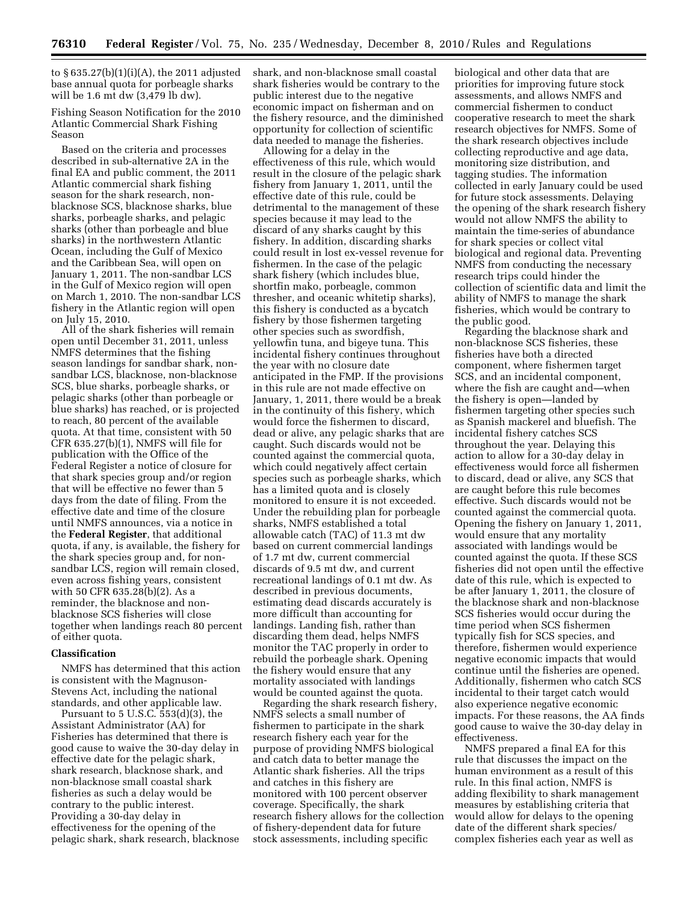to  $§ 635.27(b)(1)(i)(A)$ , the 2011 adjusted base annual quota for porbeagle sharks will be 1.6 mt dw (3,479 lb dw).

Fishing Season Notification for the 2010 Atlantic Commercial Shark Fishing Season

Based on the criteria and processes described in sub-alternative 2A in the final EA and public comment, the 2011 Atlantic commercial shark fishing season for the shark research, nonblacknose SCS, blacknose sharks, blue sharks, porbeagle sharks, and pelagic sharks (other than porbeagle and blue sharks) in the northwestern Atlantic Ocean, including the Gulf of Mexico and the Caribbean Sea, will open on January 1, 2011. The non-sandbar LCS in the Gulf of Mexico region will open on March 1, 2010. The non-sandbar LCS fishery in the Atlantic region will open on July 15, 2010.

All of the shark fisheries will remain open until December 31, 2011, unless NMFS determines that the fishing season landings for sandbar shark, nonsandbar LCS, blacknose, non-blacknose SCS, blue sharks, porbeagle sharks, or pelagic sharks (other than porbeagle or blue sharks) has reached, or is projected to reach, 80 percent of the available quota. At that time, consistent with 50 CFR 635.27(b)(1), NMFS will file for publication with the Office of the Federal Register a notice of closure for that shark species group and/or region that will be effective no fewer than 5 days from the date of filing. From the effective date and time of the closure until NMFS announces, via a notice in the **Federal Register**, that additional quota, if any, is available, the fishery for the shark species group and, for nonsandbar LCS, region will remain closed, even across fishing years, consistent with 50 CFR 635.28(b)(2). As a reminder, the blacknose and nonblacknose SCS fisheries will close together when landings reach 80 percent of either quota.

### **Classification**

NMFS has determined that this action is consistent with the Magnuson-Stevens Act, including the national standards, and other applicable law.

Pursuant to  $5 \text{ U.S. C. } 553\text{ (d)}(3)$ , the Assistant Administrator (AA) for Fisheries has determined that there is good cause to waive the 30-day delay in effective date for the pelagic shark, shark research, blacknose shark, and non-blacknose small coastal shark fisheries as such a delay would be contrary to the public interest. Providing a 30-day delay in effectiveness for the opening of the pelagic shark, shark research, blacknose

shark, and non-blacknose small coastal shark fisheries would be contrary to the public interest due to the negative economic impact on fisherman and on the fishery resource, and the diminished opportunity for collection of scientific data needed to manage the fisheries.

Allowing for a delay in the effectiveness of this rule, which would result in the closure of the pelagic shark fishery from January 1, 2011, until the effective date of this rule, could be detrimental to the management of these species because it may lead to the discard of any sharks caught by this fishery. In addition, discarding sharks could result in lost ex-vessel revenue for fishermen. In the case of the pelagic shark fishery (which includes blue, shortfin mako, porbeagle, common thresher, and oceanic whitetip sharks), this fishery is conducted as a bycatch fishery by those fishermen targeting other species such as swordfish, yellowfin tuna, and bigeye tuna. This incidental fishery continues throughout the year with no closure date anticipated in the FMP. If the provisions in this rule are not made effective on January, 1, 2011, there would be a break in the continuity of this fishery, which would force the fishermen to discard, dead or alive, any pelagic sharks that are caught. Such discards would not be counted against the commercial quota, which could negatively affect certain species such as porbeagle sharks, which has a limited quota and is closely monitored to ensure it is not exceeded. Under the rebuilding plan for porbeagle sharks, NMFS established a total allowable catch (TAC) of 11.3 mt dw based on current commercial landings of 1.7 mt dw, current commercial discards of 9.5 mt dw, and current recreational landings of 0.1 mt dw. As described in previous documents, estimating dead discards accurately is more difficult than accounting for landings. Landing fish, rather than discarding them dead, helps NMFS monitor the TAC properly in order to rebuild the porbeagle shark. Opening the fishery would ensure that any mortality associated with landings would be counted against the quota.

Regarding the shark research fishery, NMFS selects a small number of fishermen to participate in the shark research fishery each year for the purpose of providing NMFS biological and catch data to better manage the Atlantic shark fisheries. All the trips and catches in this fishery are monitored with 100 percent observer coverage. Specifically, the shark research fishery allows for the collection of fishery-dependent data for future stock assessments, including specific

biological and other data that are priorities for improving future stock assessments, and allows NMFS and commercial fishermen to conduct cooperative research to meet the shark research objectives for NMFS. Some of the shark research objectives include collecting reproductive and age data, monitoring size distribution, and tagging studies. The information collected in early January could be used for future stock assessments. Delaying the opening of the shark research fishery would not allow NMFS the ability to maintain the time-series of abundance for shark species or collect vital biological and regional data. Preventing NMFS from conducting the necessary research trips could hinder the collection of scientific data and limit the ability of NMFS to manage the shark fisheries, which would be contrary to the public good.

Regarding the blacknose shark and non-blacknose SCS fisheries, these fisheries have both a directed component, where fishermen target SCS, and an incidental component, where the fish are caught and—when the fishery is open—landed by fishermen targeting other species such as Spanish mackerel and bluefish. The incidental fishery catches SCS throughout the year. Delaying this action to allow for a 30-day delay in effectiveness would force all fishermen to discard, dead or alive, any SCS that are caught before this rule becomes effective. Such discards would not be counted against the commercial quota. Opening the fishery on January 1, 2011, would ensure that any mortality associated with landings would be counted against the quota. If these SCS fisheries did not open until the effective date of this rule, which is expected to be after January 1, 2011, the closure of the blacknose shark and non-blacknose SCS fisheries would occur during the time period when SCS fishermen typically fish for SCS species, and therefore, fishermen would experience negative economic impacts that would continue until the fisheries are opened. Additionally, fishermen who catch SCS incidental to their target catch would also experience negative economic impacts. For these reasons, the AA finds good cause to waive the 30-day delay in effectiveness.

NMFS prepared a final EA for this rule that discusses the impact on the human environment as a result of this rule. In this final action, NMFS is adding flexibility to shark management measures by establishing criteria that would allow for delays to the opening date of the different shark species/ complex fisheries each year as well as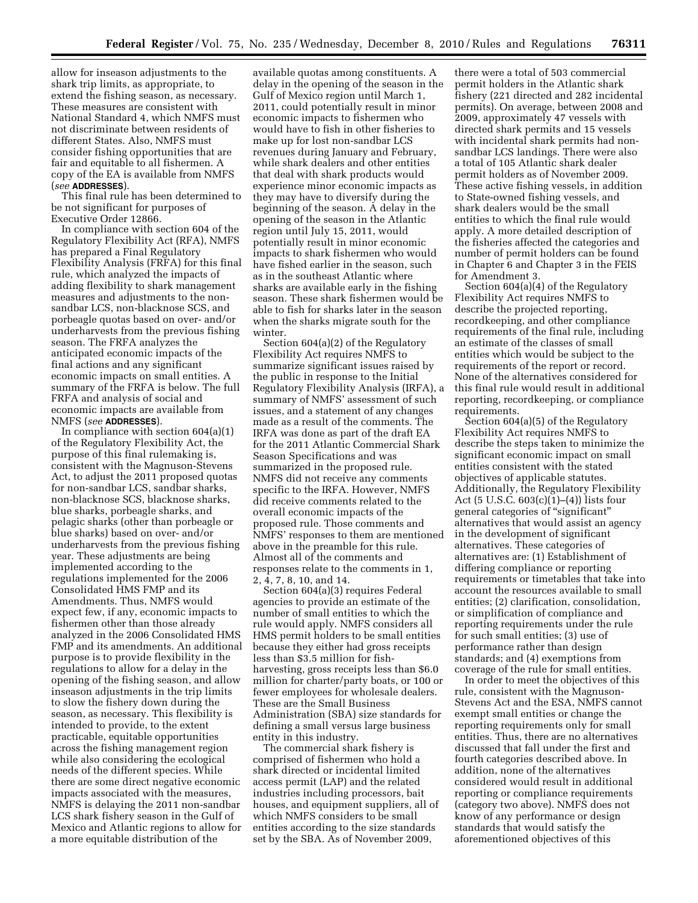allow for inseason adjustments to the shark trip limits, as appropriate, to extend the fishing season, as necessary. These measures are consistent with National Standard 4, which NMFS must not discriminate between residents of different States. Also, NMFS must consider fishing opportunities that are fair and equitable to all fishermen. A copy of the EA is available from NMFS (*see* **ADDRESSES**).

This final rule has been determined to be not significant for purposes of Executive Order 12866.

In compliance with section 604 of the Regulatory Flexibility Act (RFA), NMFS has prepared a Final Regulatory Flexibility Analysis (FRFA) for this final rule, which analyzed the impacts of adding flexibility to shark management measures and adjustments to the nonsandbar LCS, non-blacknose SCS, and porbeagle quotas based on over- and/or underharvests from the previous fishing season. The FRFA analyzes the anticipated economic impacts of the final actions and any significant economic impacts on small entities. A summary of the FRFA is below. The full FRFA and analysis of social and economic impacts are available from NMFS (*see* **ADDRESSES**).

In compliance with section  $604(a)(1)$ of the Regulatory Flexibility Act, the purpose of this final rulemaking is, consistent with the Magnuson-Stevens Act, to adjust the 2011 proposed quotas for non-sandbar LCS, sandbar sharks, non-blacknose SCS, blacknose sharks, blue sharks, porbeagle sharks, and pelagic sharks (other than porbeagle or blue sharks) based on over- and/or underharvests from the previous fishing year. These adjustments are being implemented according to the regulations implemented for the 2006 Consolidated HMS FMP and its Amendments. Thus, NMFS would expect few, if any, economic impacts to fishermen other than those already analyzed in the 2006 Consolidated HMS FMP and its amendments. An additional purpose is to provide flexibility in the regulations to allow for a delay in the opening of the fishing season, and allow inseason adjustments in the trip limits to slow the fishery down during the season, as necessary. This flexibility is intended to provide, to the extent practicable, equitable opportunities across the fishing management region while also considering the ecological needs of the different species. While there are some direct negative economic impacts associated with the measures, NMFS is delaying the 2011 non-sandbar LCS shark fishery season in the Gulf of Mexico and Atlantic regions to allow for a more equitable distribution of the

available quotas among constituents. A delay in the opening of the season in the Gulf of Mexico region until March 1, 2011, could potentially result in minor economic impacts to fishermen who would have to fish in other fisheries to make up for lost non-sandbar LCS revenues during January and February, while shark dealers and other entities that deal with shark products would experience minor economic impacts as they may have to diversify during the beginning of the season. A delay in the opening of the season in the Atlantic region until July 15, 2011, would potentially result in minor economic impacts to shark fishermen who would have fished earlier in the season, such as in the southeast Atlantic where sharks are available early in the fishing season. These shark fishermen would be able to fish for sharks later in the season when the sharks migrate south for the winter.

Section 604(a)(2) of the Regulatory Flexibility Act requires NMFS to summarize significant issues raised by the public in response to the Initial Regulatory Flexibility Analysis (IRFA), a summary of NMFS' assessment of such issues, and a statement of any changes made as a result of the comments. The IRFA was done as part of the draft EA for the 2011 Atlantic Commercial Shark Season Specifications and was summarized in the proposed rule. NMFS did not receive any comments specific to the IRFA. However, NMFS did receive comments related to the overall economic impacts of the proposed rule. Those comments and NMFS' responses to them are mentioned above in the preamble for this rule. Almost all of the comments and responses relate to the comments in 1, 2, 4, 7, 8, 10, and 14.

Section 604(a)(3) requires Federal agencies to provide an estimate of the number of small entities to which the rule would apply. NMFS considers all HMS permit holders to be small entities because they either had gross receipts less than \$3.5 million for fishharvesting, gross receipts less than \$6.0 million for charter/party boats, or 100 or fewer employees for wholesale dealers. These are the Small Business Administration (SBA) size standards for defining a small versus large business entity in this industry.

The commercial shark fishery is comprised of fishermen who hold a shark directed or incidental limited access permit (LAP) and the related industries including processors, bait houses, and equipment suppliers, all of which NMFS considers to be small entities according to the size standards set by the SBA. As of November 2009,

there were a total of 503 commercial permit holders in the Atlantic shark fishery (221 directed and 282 incidental permits). On average, between 2008 and 2009, approximately 47 vessels with directed shark permits and 15 vessels with incidental shark permits had nonsandbar LCS landings. There were also a total of 105 Atlantic shark dealer permit holders as of November 2009. These active fishing vessels, in addition to State-owned fishing vessels, and shark dealers would be the small entities to which the final rule would apply. A more detailed description of the fisheries affected the categories and number of permit holders can be found in Chapter 6 and Chapter 3 in the FEIS for Amendment 3.

Section 604(a)(4) of the Regulatory Flexibility Act requires NMFS to describe the projected reporting, recordkeeping, and other compliance requirements of the final rule, including an estimate of the classes of small entities which would be subject to the requirements of the report or record. None of the alternatives considered for this final rule would result in additional reporting, recordkeeping, or compliance requirements.

Section 604(a)(5) of the Regulatory Flexibility Act requires NMFS to describe the steps taken to minimize the significant economic impact on small entities consistent with the stated objectives of applicable statutes. Additionally, the Regulatory Flexibility Act (5 U.S.C. 603(c)(1)–(4)) lists four general categories of ''significant'' alternatives that would assist an agency in the development of significant alternatives. These categories of alternatives are: (1) Establishment of differing compliance or reporting requirements or timetables that take into account the resources available to small entities; (2) clarification, consolidation, or simplification of compliance and reporting requirements under the rule for such small entities; (3) use of performance rather than design standards; and (4) exemptions from coverage of the rule for small entities.

In order to meet the objectives of this rule, consistent with the Magnuson-Stevens Act and the ESA, NMFS cannot exempt small entities or change the reporting requirements only for small entities. Thus, there are no alternatives discussed that fall under the first and fourth categories described above. In addition, none of the alternatives considered would result in additional reporting or compliance requirements (category two above). NMFS does not know of any performance or design standards that would satisfy the aforementioned objectives of this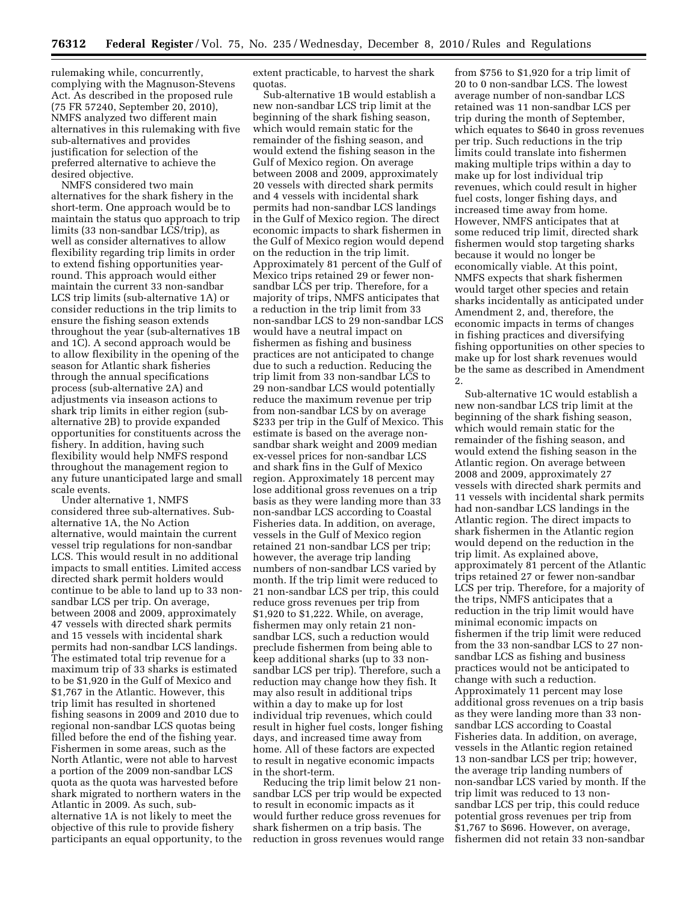rulemaking while, concurrently, complying with the Magnuson-Stevens Act. As described in the proposed rule (75 FR 57240, September 20, 2010), NMFS analyzed two different main alternatives in this rulemaking with five sub-alternatives and provides justification for selection of the preferred alternative to achieve the desired objective.

NMFS considered two main alternatives for the shark fishery in the short-term. One approach would be to maintain the status quo approach to trip limits (33 non-sandbar LCS/trip), as well as consider alternatives to allow flexibility regarding trip limits in order to extend fishing opportunities yearround. This approach would either maintain the current 33 non-sandbar LCS trip limits (sub-alternative 1A) or consider reductions in the trip limits to ensure the fishing season extends throughout the year (sub-alternatives 1B and 1C). A second approach would be to allow flexibility in the opening of the season for Atlantic shark fisheries through the annual specifications process (sub-alternative 2A) and adjustments via inseason actions to shark trip limits in either region (subalternative 2B) to provide expanded opportunities for constituents across the fishery. In addition, having such flexibility would help NMFS respond throughout the management region to any future unanticipated large and small scale events.

Under alternative 1, NMFS considered three sub-alternatives. Subalternative 1A, the No Action alternative, would maintain the current vessel trip regulations for non-sandbar LCS. This would result in no additional impacts to small entities. Limited access directed shark permit holders would continue to be able to land up to 33 nonsandbar LCS per trip. On average, between 2008 and 2009, approximately 47 vessels with directed shark permits and 15 vessels with incidental shark permits had non-sandbar LCS landings. The estimated total trip revenue for a maximum trip of 33 sharks is estimated to be \$1,920 in the Gulf of Mexico and \$1,767 in the Atlantic. However, this trip limit has resulted in shortened fishing seasons in 2009 and 2010 due to regional non-sandbar LCS quotas being filled before the end of the fishing year. Fishermen in some areas, such as the North Atlantic, were not able to harvest a portion of the 2009 non-sandbar LCS quota as the quota was harvested before shark migrated to northern waters in the Atlantic in 2009. As such, subalternative 1A is not likely to meet the objective of this rule to provide fishery participants an equal opportunity, to the extent practicable, to harvest the shark quotas.

Sub-alternative 1B would establish a new non-sandbar LCS trip limit at the beginning of the shark fishing season, which would remain static for the remainder of the fishing season, and would extend the fishing season in the Gulf of Mexico region. On average between 2008 and 2009, approximately 20 vessels with directed shark permits and 4 vessels with incidental shark permits had non-sandbar LCS landings in the Gulf of Mexico region. The direct economic impacts to shark fishermen in the Gulf of Mexico region would depend on the reduction in the trip limit. Approximately 81 percent of the Gulf of Mexico trips retained 29 or fewer nonsandbar LCS per trip. Therefore, for a majority of trips, NMFS anticipates that a reduction in the trip limit from 33 non-sandbar LCS to 29 non-sandbar LCS would have a neutral impact on fishermen as fishing and business practices are not anticipated to change due to such a reduction. Reducing the trip limit from 33 non-sandbar LCS to 29 non-sandbar LCS would potentially reduce the maximum revenue per trip from non-sandbar LCS by on average \$233 per trip in the Gulf of Mexico. This estimate is based on the average nonsandbar shark weight and 2009 median ex-vessel prices for non-sandbar LCS and shark fins in the Gulf of Mexico region. Approximately 18 percent may lose additional gross revenues on a trip basis as they were landing more than 33 non-sandbar LCS according to Coastal Fisheries data. In addition, on average, vessels in the Gulf of Mexico region retained 21 non-sandbar LCS per trip; however, the average trip landing numbers of non-sandbar LCS varied by month. If the trip limit were reduced to 21 non-sandbar LCS per trip, this could reduce gross revenues per trip from \$1,920 to \$1,222. While, on average, fishermen may only retain 21 nonsandbar LCS, such a reduction would preclude fishermen from being able to keep additional sharks (up to 33 nonsandbar LCS per trip). Therefore, such a reduction may change how they fish. It may also result in additional trips within a day to make up for lost individual trip revenues, which could result in higher fuel costs, longer fishing days, and increased time away from home. All of these factors are expected to result in negative economic impacts in the short-term.

Reducing the trip limit below 21 nonsandbar LCS per trip would be expected to result in economic impacts as it would further reduce gross revenues for shark fishermen on a trip basis. The reduction in gross revenues would range

from \$756 to \$1,920 for a trip limit of 20 to 0 non-sandbar LCS. The lowest average number of non-sandbar LCS retained was 11 non-sandbar LCS per trip during the month of September, which equates to \$640 in gross revenues per trip. Such reductions in the trip limits could translate into fishermen making multiple trips within a day to make up for lost individual trip revenues, which could result in higher fuel costs, longer fishing days, and increased time away from home. However, NMFS anticipates that at some reduced trip limit, directed shark fishermen would stop targeting sharks because it would no longer be economically viable. At this point, NMFS expects that shark fishermen would target other species and retain sharks incidentally as anticipated under Amendment 2, and, therefore, the economic impacts in terms of changes in fishing practices and diversifying fishing opportunities on other species to make up for lost shark revenues would be the same as described in Amendment 2.

Sub-alternative 1C would establish a new non-sandbar LCS trip limit at the beginning of the shark fishing season, which would remain static for the remainder of the fishing season, and would extend the fishing season in the Atlantic region. On average between 2008 and 2009, approximately 27 vessels with directed shark permits and 11 vessels with incidental shark permits had non-sandbar LCS landings in the Atlantic region. The direct impacts to shark fishermen in the Atlantic region would depend on the reduction in the trip limit. As explained above, approximately 81 percent of the Atlantic trips retained 27 or fewer non-sandbar LCS per trip. Therefore, for a majority of the trips, NMFS anticipates that a reduction in the trip limit would have minimal economic impacts on fishermen if the trip limit were reduced from the 33 non-sandbar LCS to 27 nonsandbar LCS as fishing and business practices would not be anticipated to change with such a reduction. Approximately 11 percent may lose additional gross revenues on a trip basis as they were landing more than 33 nonsandbar LCS according to Coastal Fisheries data. In addition, on average, vessels in the Atlantic region retained 13 non-sandbar LCS per trip; however, the average trip landing numbers of non-sandbar LCS varied by month. If the trip limit was reduced to 13 nonsandbar LCS per trip, this could reduce potential gross revenues per trip from \$1,767 to \$696. However, on average, fishermen did not retain 33 non-sandbar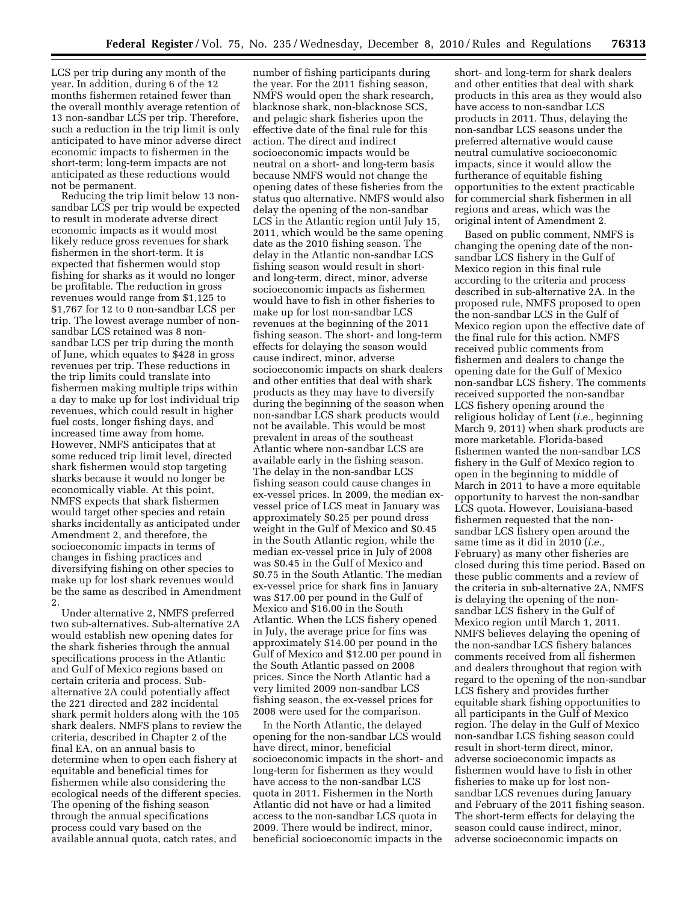LCS per trip during any month of the year. In addition, during 6 of the 12 months fishermen retained fewer than the overall monthly average retention of 13 non-sandbar LCS per trip. Therefore, such a reduction in the trip limit is only anticipated to have minor adverse direct economic impacts to fishermen in the short-term; long-term impacts are not anticipated as these reductions would not be permanent.

Reducing the trip limit below 13 nonsandbar LCS per trip would be expected to result in moderate adverse direct economic impacts as it would most likely reduce gross revenues for shark fishermen in the short-term. It is expected that fishermen would stop fishing for sharks as it would no longer be profitable. The reduction in gross revenues would range from \$1,125 to \$1,767 for 12 to 0 non-sandbar LCS per trip. The lowest average number of nonsandbar LCS retained was 8 nonsandbar LCS per trip during the month of June, which equates to \$428 in gross revenues per trip. These reductions in the trip limits could translate into fishermen making multiple trips within a day to make up for lost individual trip revenues, which could result in higher fuel costs, longer fishing days, and increased time away from home. However, NMFS anticipates that at some reduced trip limit level, directed shark fishermen would stop targeting sharks because it would no longer be economically viable. At this point, NMFS expects that shark fishermen would target other species and retain sharks incidentally as anticipated under Amendment 2, and therefore, the socioeconomic impacts in terms of changes in fishing practices and diversifying fishing on other species to make up for lost shark revenues would be the same as described in Amendment 2.

Under alternative 2, NMFS preferred two sub-alternatives. Sub-alternative 2A would establish new opening dates for the shark fisheries through the annual specifications process in the Atlantic and Gulf of Mexico regions based on certain criteria and process. Subalternative 2A could potentially affect the 221 directed and 282 incidental shark permit holders along with the 105 shark dealers. NMFS plans to review the criteria, described in Chapter 2 of the final EA, on an annual basis to determine when to open each fishery at equitable and beneficial times for fishermen while also considering the ecological needs of the different species. The opening of the fishing season through the annual specifications process could vary based on the available annual quota, catch rates, and

number of fishing participants during the year. For the 2011 fishing season, NMFS would open the shark research, blacknose shark, non-blacknose SCS, and pelagic shark fisheries upon the effective date of the final rule for this action. The direct and indirect socioeconomic impacts would be neutral on a short- and long-term basis because NMFS would not change the opening dates of these fisheries from the status quo alternative. NMFS would also delay the opening of the non-sandbar LCS in the Atlantic region until July 15, 2011, which would be the same opening date as the 2010 fishing season. The delay in the Atlantic non-sandbar LCS fishing season would result in shortand long-term, direct, minor, adverse socioeconomic impacts as fishermen would have to fish in other fisheries to make up for lost non-sandbar LCS revenues at the beginning of the 2011 fishing season. The short- and long-term effects for delaying the season would cause indirect, minor, adverse socioeconomic impacts on shark dealers and other entities that deal with shark products as they may have to diversify during the beginning of the season when non-sandbar LCS shark products would not be available. This would be most prevalent in areas of the southeast Atlantic where non-sandbar LCS are available early in the fishing season. The delay in the non-sandbar LCS fishing season could cause changes in ex-vessel prices. In 2009, the median exvessel price of LCS meat in January was approximately \$0.25 per pound dress weight in the Gulf of Mexico and \$0.45 in the South Atlantic region, while the median ex-vessel price in July of 2008 was \$0.45 in the Gulf of Mexico and \$0.75 in the South Atlantic. The median ex-vessel price for shark fins in January was \$17.00 per pound in the Gulf of Mexico and \$16.00 in the South Atlantic. When the LCS fishery opened in July, the average price for fins was approximately \$14.00 per pound in the Gulf of Mexico and \$12.00 per pound in the South Atlantic passed on 2008 prices. Since the North Atlantic had a very limited 2009 non-sandbar LCS fishing season, the ex-vessel prices for 2008 were used for the comparison.

In the North Atlantic, the delayed opening for the non-sandbar LCS would have direct, minor, beneficial socioeconomic impacts in the short- and long-term for fishermen as they would have access to the non-sandbar LCS quota in 2011. Fishermen in the North Atlantic did not have or had a limited access to the non-sandbar LCS quota in 2009. There would be indirect, minor, beneficial socioeconomic impacts in the

short- and long-term for shark dealers and other entities that deal with shark products in this area as they would also have access to non-sandbar LCS products in 2011. Thus, delaying the non-sandbar LCS seasons under the preferred alternative would cause neutral cumulative socioeconomic impacts, since it would allow the furtherance of equitable fishing opportunities to the extent practicable for commercial shark fishermen in all regions and areas, which was the original intent of Amendment 2.

Based on public comment, NMFS is changing the opening date of the nonsandbar LCS fishery in the Gulf of Mexico region in this final rule according to the criteria and process described in sub-alternative 2A. In the proposed rule, NMFS proposed to open the non-sandbar LCS in the Gulf of Mexico region upon the effective date of the final rule for this action. NMFS received public comments from fishermen and dealers to change the opening date for the Gulf of Mexico non-sandbar LCS fishery. The comments received supported the non-sandbar LCS fishery opening around the religious holiday of Lent (*i.e.,* beginning March 9, 2011) when shark products are more marketable. Florida-based fishermen wanted the non-sandbar LCS fishery in the Gulf of Mexico region to open in the beginning to middle of March in 2011 to have a more equitable opportunity to harvest the non-sandbar LCS quota. However, Louisiana-based fishermen requested that the nonsandbar LCS fishery open around the same time as it did in 2010 (*i.e.,*  February) as many other fisheries are closed during this time period. Based on these public comments and a review of the criteria in sub-alternative 2A, NMFS is delaying the opening of the nonsandbar LCS fishery in the Gulf of Mexico region until March 1, 2011. NMFS believes delaying the opening of the non-sandbar LCS fishery balances comments received from all fishermen and dealers throughout that region with regard to the opening of the non-sandbar LCS fishery and provides further equitable shark fishing opportunities to all participants in the Gulf of Mexico region. The delay in the Gulf of Mexico non-sandbar LCS fishing season could result in short-term direct, minor, adverse socioeconomic impacts as fishermen would have to fish in other fisheries to make up for lost nonsandbar LCS revenues during January and February of the 2011 fishing season. The short-term effects for delaying the season could cause indirect, minor, adverse socioeconomic impacts on